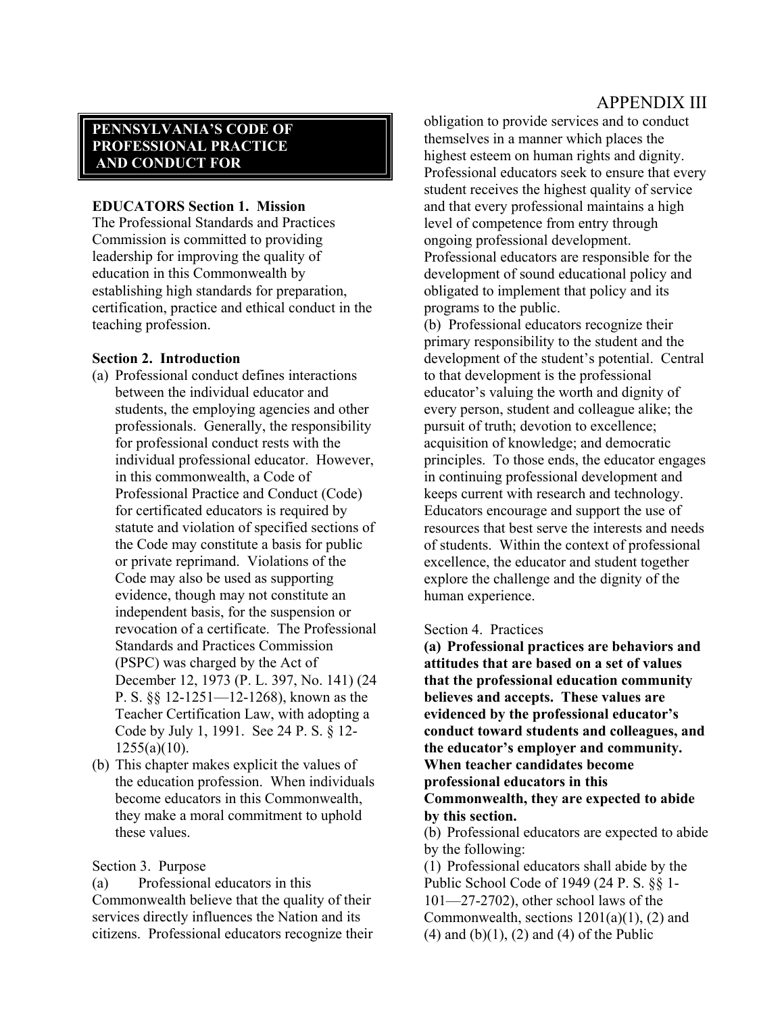## APPENDIX III

# **PENNSYLVANIA'S CODE OF PROFESSIONAL PRACTICE AND CONDUCT FOR**

## **EDUCATORS Section 1. Mission**

The Professional Standards and Practices Commission is committed to providing leadership for improving the quality of education in this Commonwealth by establishing high standards for preparation, certification, practice and ethical conduct in the teaching profession.

### **Section 2. Introduction**

- (a) Professional conduct defines interactions between the individual educator and students, the employing agencies and other professionals. Generally, the responsibility for professional conduct rests with the individual professional educator. However, in this commonwealth, a Code of Professional Practice and Conduct (Code) for certificated educators is required by statute and violation of specified sections of the Code may constitute a basis for public or private reprimand. Violations of the Code may also be used as supporting evidence, though may not constitute an independent basis, for the suspension or revocation of a certificate. The Professional Standards and Practices Commission (PSPC) was charged by the Act of December 12, 1973 (P. L. 397, No. 141) (24 P. S. §§ 12-1251—12-1268), known as the Teacher Certification Law, with adopting a Code by July 1, 1991. See 24 P. S. § 12-  $1255(a)(10)$ .
- (b) This chapter makes explicit the values of the education profession. When individuals become educators in this Commonwealth, they make a moral commitment to uphold these values.

## Section 3. Purpose

(a) Professional educators in this Commonwealth believe that the quality of their services directly influences the Nation and its citizens. Professional educators recognize their obligation to provide services and to conduct themselves in a manner which places the highest esteem on human rights and dignity. Professional educators seek to ensure that every student receives the highest quality of service and that every professional maintains a high level of competence from entry through ongoing professional development. Professional educators are responsible for the development of sound educational policy and obligated to implement that policy and its programs to the public.

(b) Professional educators recognize their primary responsibility to the student and the development of the student's potential. Central to that development is the professional educator's valuing the worth and dignity of every person, student and colleague alike; the pursuit of truth; devotion to excellence; acquisition of knowledge; and democratic principles. To those ends, the educator engages in continuing professional development and keeps current with research and technology. Educators encourage and support the use of resources that best serve the interests and needs of students. Within the context of professional excellence, the educator and student together explore the challenge and the dignity of the human experience.

#### Section 4. Practices

**(a) Professional practices are behaviors and attitudes that are based on a set of values that the professional education community believes and accepts. These values are evidenced by the professional educator's conduct toward students and colleagues, and the educator's employer and community. When teacher candidates become professional educators in this Commonwealth, they are expected to abide by this section.** 

(b) Professional educators are expected to abide by the following:

(1) Professional educators shall abide by the Public School Code of 1949 (24 P. S. §§ 1- 101—27-2702), other school laws of the Commonwealth, sections  $1201(a)(1)$ ,  $(2)$  and  $(4)$  and  $(b)(1)$ ,  $(2)$  and  $(4)$  of the Public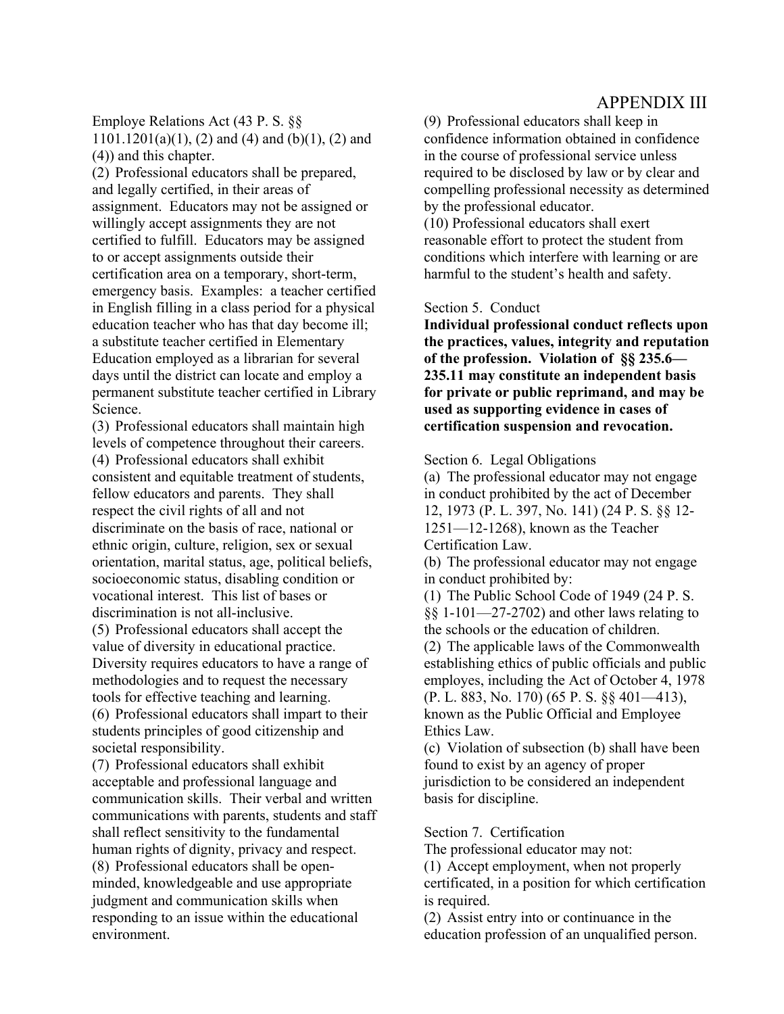# APPENDIX III

Employe Relations Act (43 P. S. §§  $1101.1201(a)(1)$ , (2) and (4) and (b)(1), (2) and (4)) and this chapter.

(2) Professional educators shall be prepared, and legally certified, in their areas of assignment. Educators may not be assigned or willingly accept assignments they are not certified to fulfill. Educators may be assigned to or accept assignments outside their certification area on a temporary, short-term, emergency basis. Examples: a teacher certified in English filling in a class period for a physical education teacher who has that day become ill; a substitute teacher certified in Elementary Education employed as a librarian for several days until the district can locate and employ a permanent substitute teacher certified in Library Science.

(3) Professional educators shall maintain high levels of competence throughout their careers. (4) Professional educators shall exhibit consistent and equitable treatment of students, fellow educators and parents. They shall respect the civil rights of all and not discriminate on the basis of race, national or ethnic origin, culture, religion, sex or sexual orientation, marital status, age, political beliefs, socioeconomic status, disabling condition or vocational interest. This list of bases or discrimination is not all-inclusive.

(5) Professional educators shall accept the value of diversity in educational practice. Diversity requires educators to have a range of methodologies and to request the necessary tools for effective teaching and learning. (6) Professional educators shall impart to their students principles of good citizenship and societal responsibility.

(7) Professional educators shall exhibit acceptable and professional language and communication skills. Their verbal and written communications with parents, students and staff shall reflect sensitivity to the fundamental human rights of dignity, privacy and respect. (8) Professional educators shall be openminded, knowledgeable and use appropriate judgment and communication skills when responding to an issue within the educational environment.

(9) Professional educators shall keep in confidence information obtained in confidence in the course of professional service unless required to be disclosed by law or by clear and compelling professional necessity as determined by the professional educator.

(10) Professional educators shall exert reasonable effort to protect the student from conditions which interfere with learning or are harmful to the student's health and safety.

### Section 5. Conduct

**Individual professional conduct reflects upon the practices, values, integrity and reputation of the profession. Violation of §§ 235.6— 235.11 may constitute an independent basis for private or public reprimand, and may be used as supporting evidence in cases of certification suspension and revocation.** 

#### Section 6. Legal Obligations

(a) The professional educator may not engage in conduct prohibited by the act of December 12, 1973 (P. L. 397, No. 141) (24 P. S. §§ 12- 1251—12-1268), known as the Teacher Certification Law.

(b) The professional educator may not engage in conduct prohibited by:

(1) The Public School Code of 1949 (24 P. S. §§ 1-101—27-2702) and other laws relating to the schools or the education of children.

(2) The applicable laws of the Commonwealth establishing ethics of public officials and public employes, including the Act of October 4, 1978 (P. L. 883, No. 170) (65 P. S. §§ 401—413), known as the Public Official and Employee Ethics Law.

(c) Violation of subsection (b) shall have been found to exist by an agency of proper jurisdiction to be considered an independent basis for discipline.

#### Section 7. Certification

The professional educator may not:

(1) Accept employment, when not properly certificated, in a position for which certification is required.

(2) Assist entry into or continuance in the education profession of an unqualified person.